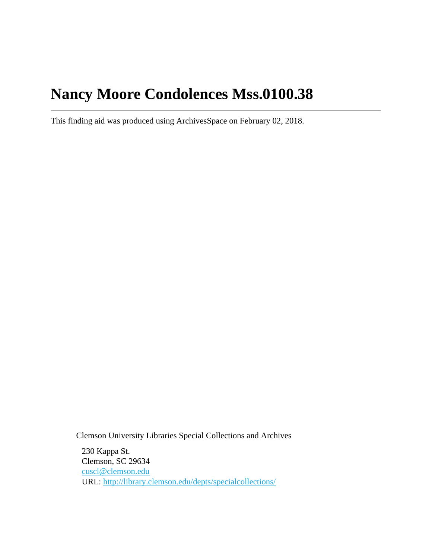# **Nancy Moore Condolences Mss.0100.38**

This finding aid was produced using ArchivesSpace on February 02, 2018.

Clemson University Libraries Special Collections and Archives

230 Kappa St. Clemson, SC 29634 [cuscl@clemson.edu](mailto:cuscl@clemson.edu) URL:<http://library.clemson.edu/depts/specialcollections/>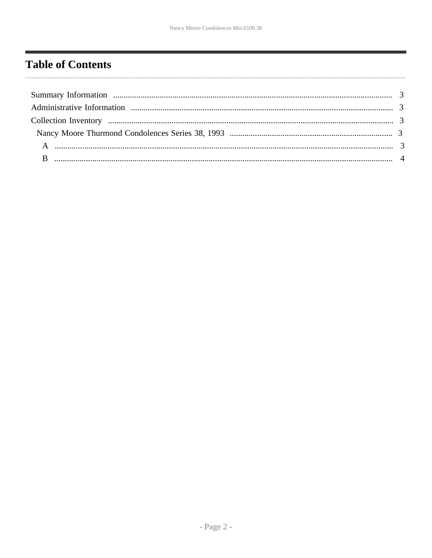# <span id="page-1-0"></span>**Table of Contents**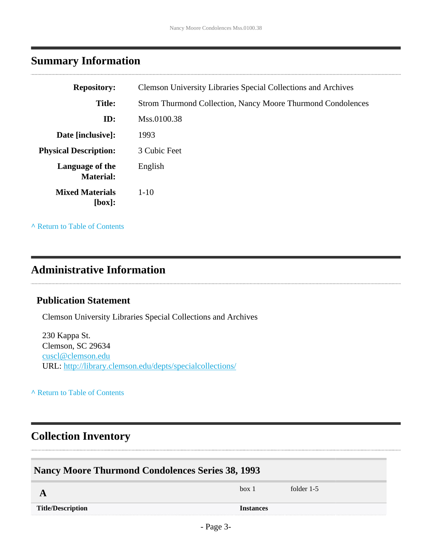## <span id="page-2-0"></span>**Summary Information**

| <b>Repository:</b>                  | <b>Clemson University Libraries Special Collections and Archives</b> |
|-------------------------------------|----------------------------------------------------------------------|
| <b>Title:</b>                       | <b>Strom Thurmond Collection, Nancy Moore Thurmond Condolences</b>   |
| ID:                                 | Mss.0100.38                                                          |
| Date [inclusive]:                   | 1993                                                                 |
| <b>Physical Description:</b>        | 3 Cubic Feet                                                         |
| Language of the<br><b>Material:</b> | English                                                              |
| <b>Mixed Materials</b><br>[box]:    | $1-10$                                                               |

**^** [Return to Table of Contents](#page-1-0)

#### <span id="page-2-1"></span>**Administrative Information**

#### **Publication Statement**

Clemson University Libraries Special Collections and Archives

230 Kappa St. Clemson, SC 29634 [cuscl@clemson.edu](mailto:cuscl@clemson.edu) URL:<http://library.clemson.edu/depts/specialcollections/>

**^** [Return to Table of Contents](#page-1-0)

### <span id="page-2-2"></span>**Collection Inventory**

<span id="page-2-4"></span><span id="page-2-3"></span>

| <b>Nancy Moore Thurmond Condolences Series 38, 1993</b> |                  |            |  |
|---------------------------------------------------------|------------------|------------|--|
|                                                         | box 1            | folder 1-5 |  |
| <b>Title/Description</b>                                | <b>Instances</b> |            |  |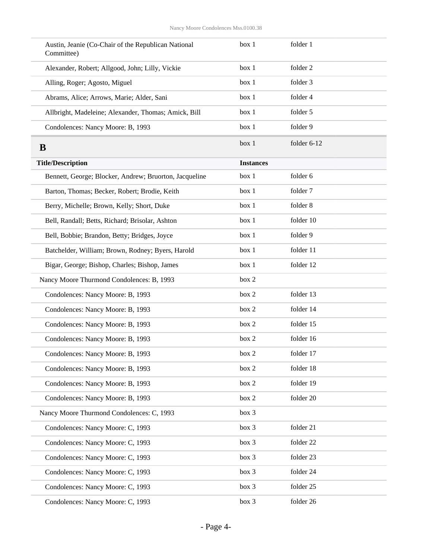<span id="page-3-0"></span>

| Austin, Jeanie (Co-Chair of the Republican National<br>Committee) | box 1            | folder 1    |
|-------------------------------------------------------------------|------------------|-------------|
| Alexander, Robert; Allgood, John; Lilly, Vickie                   | box 1            | folder 2    |
| Alling, Roger; Agosto, Miguel                                     | box 1            | folder 3    |
| Abrams, Alice; Arrows, Marie; Alder, Sani                         | box 1            | folder 4    |
| Allbright, Madeleine; Alexander, Thomas; Amick, Bill              | box 1            | folder 5    |
| Condolences: Nancy Moore: B, 1993                                 | box 1            | folder 9    |
| B                                                                 | box 1            | folder 6-12 |
| <b>Title/Description</b>                                          | <b>Instances</b> |             |
| Bennett, George; Blocker, Andrew; Bruorton, Jacqueline            | box 1            | folder 6    |
| Barton, Thomas; Becker, Robert; Brodie, Keith                     | box 1            | folder 7    |
| Berry, Michelle; Brown, Kelly; Short, Duke                        | box 1            | folder 8    |
| Bell, Randall; Betts, Richard; Brisolar, Ashton                   | box 1            | folder 10   |
| Bell, Bobbie; Brandon, Betty; Bridges, Joyce                      | box 1            | folder 9    |
| Batchelder, William; Brown, Rodney; Byers, Harold                 | box 1            | folder 11   |
| Bigar, George; Bishop, Charles; Bishop, James                     | box 1            | folder 12   |
| Nancy Moore Thurmond Condolences: B, 1993                         | box 2            |             |
| Condolences: Nancy Moore: B, 1993                                 | box 2            | folder 13   |
| Condolences: Nancy Moore: B, 1993                                 | box 2            | folder 14   |
| Condolences: Nancy Moore: B, 1993                                 | box 2            | folder 15   |
| Condolences: Nancy Moore: B, 1993                                 | box 2            | folder 16   |
| Condolences: Nancy Moore: B, 1993                                 | box 2            | folder 17   |
| Condolences: Nancy Moore: B, 1993                                 | box 2            | folder 18   |
| Condolences: Nancy Moore: B, 1993                                 | box 2            | folder 19   |
| Condolences: Nancy Moore: B, 1993                                 | box 2            | folder 20   |
| Nancy Moore Thurmond Condolences: C, 1993                         | box 3            |             |
| Condolences: Nancy Moore: C, 1993                                 | box 3            | folder 21   |
| Condolences: Nancy Moore: C, 1993                                 | box 3            | folder 22   |
| Condolences: Nancy Moore: C, 1993                                 | box 3            | folder 23   |
| Condolences: Nancy Moore: C, 1993                                 | box 3            | folder 24   |
| Condolences: Nancy Moore: C, 1993                                 | box 3            | folder 25   |
| Condolences: Nancy Moore: C, 1993                                 | box 3            | folder 26   |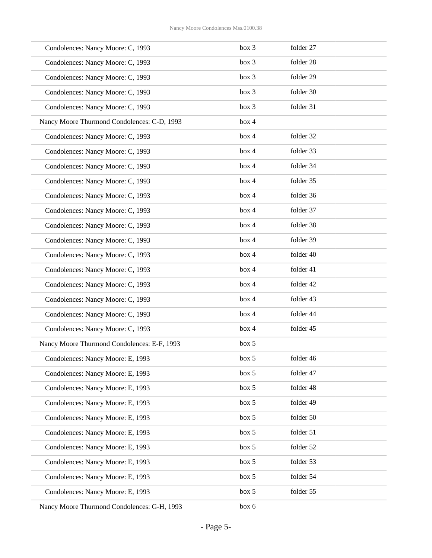| Condolences: Nancy Moore: C, 1993           | box 3 | folder 27 |
|---------------------------------------------|-------|-----------|
| Condolences: Nancy Moore: C, 1993           | box 3 | folder 28 |
| Condolences: Nancy Moore: C, 1993           | box 3 | folder 29 |
| Condolences: Nancy Moore: C, 1993           | box 3 | folder 30 |
| Condolences: Nancy Moore: C, 1993           | box 3 | folder 31 |
| Nancy Moore Thurmond Condolences: C-D, 1993 | box 4 |           |
| Condolences: Nancy Moore: C, 1993           | box 4 | folder 32 |
| Condolences: Nancy Moore: C, 1993           | box 4 | folder 33 |
| Condolences: Nancy Moore: C, 1993           | box 4 | folder 34 |
| Condolences: Nancy Moore: C, 1993           | box 4 | folder 35 |
| Condolences: Nancy Moore: C, 1993           | box 4 | folder 36 |
| Condolences: Nancy Moore: C, 1993           | box 4 | folder 37 |
| Condolences: Nancy Moore: C, 1993           | box 4 | folder 38 |
| Condolences: Nancy Moore: C, 1993           | box 4 | folder 39 |
| Condolences: Nancy Moore: C, 1993           | box 4 | folder 40 |
| Condolences: Nancy Moore: C, 1993           | box 4 | folder 41 |
| Condolences: Nancy Moore: C, 1993           | box 4 | folder 42 |
| Condolences: Nancy Moore: C, 1993           | box 4 | folder 43 |
| Condolences: Nancy Moore: C, 1993           | box 4 | folder 44 |
| Condolences: Nancy Moore: C, 1993           | box 4 | folder 45 |
| Nancy Moore Thurmond Condolences: E-F, 1993 | box 5 |           |
| Condolences: Nancy Moore: E, 1993           | box 5 | folder 46 |
| Condolences: Nancy Moore: E, 1993           | box 5 | folder 47 |
| Condolences: Nancy Moore: E, 1993           | box 5 | folder 48 |
| Condolences: Nancy Moore: E, 1993           | box 5 | folder 49 |
| Condolences: Nancy Moore: E, 1993           | box 5 | folder 50 |
| Condolences: Nancy Moore: E, 1993           | box 5 | folder 51 |
| Condolences: Nancy Moore: E, 1993           | box 5 | folder 52 |
| Condolences: Nancy Moore: E, 1993           | box 5 | folder 53 |
| Condolences: Nancy Moore: E, 1993           | box 5 | folder 54 |
| Condolences: Nancy Moore: E, 1993           | box 5 | folder 55 |
| Nancy Moore Thurmond Condolences: G-H, 1993 | box 6 |           |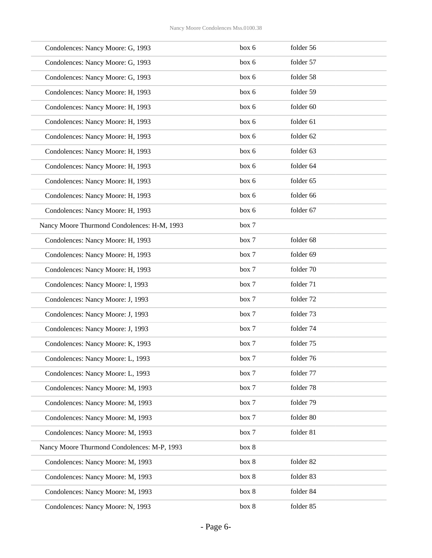| Condolences: Nancy Moore: G, 1993           | box 6 | folder 56 |
|---------------------------------------------|-------|-----------|
| Condolences: Nancy Moore: G, 1993           | box 6 | folder 57 |
| Condolences: Nancy Moore: G, 1993           | box 6 | folder 58 |
| Condolences: Nancy Moore: H, 1993           | box 6 | folder 59 |
| Condolences: Nancy Moore: H, 1993           | box 6 | folder 60 |
| Condolences: Nancy Moore: H, 1993           | box 6 | folder 61 |
| Condolences: Nancy Moore: H, 1993           | box 6 | folder 62 |
| Condolences: Nancy Moore: H, 1993           | box 6 | folder 63 |
| Condolences: Nancy Moore: H, 1993           | box 6 | folder 64 |
| Condolences: Nancy Moore: H, 1993           | box 6 | folder 65 |
| Condolences: Nancy Moore: H, 1993           | box 6 | folder 66 |
| Condolences: Nancy Moore: H, 1993           | box 6 | folder 67 |
| Nancy Moore Thurmond Condolences: H-M, 1993 | box 7 |           |
| Condolences: Nancy Moore: H, 1993           | box 7 | folder 68 |
| Condolences: Nancy Moore: H, 1993           | box 7 | folder 69 |
| Condolences: Nancy Moore: H, 1993           | box 7 | folder 70 |
| Condolences: Nancy Moore: I, 1993           | box 7 | folder 71 |
| Condolences: Nancy Moore: J, 1993           | box 7 | folder 72 |
| Condolences: Nancy Moore: J, 1993           | box 7 | folder 73 |
| Condolences: Nancy Moore: J, 1993           | box 7 | folder 74 |
| Condolences: Nancy Moore: K, 1993           | box 7 | folder 75 |
| Condolences: Nancy Moore: L, 1993           | box 7 | folder 76 |
| Condolences: Nancy Moore: L, 1993           | box 7 | folder 77 |
| Condolences: Nancy Moore: M, 1993           | box 7 | folder 78 |
| Condolences: Nancy Moore: M, 1993           | box 7 | folder 79 |
| Condolences: Nancy Moore: M, 1993           | box 7 | folder 80 |
| Condolences: Nancy Moore: M, 1993           | box 7 | folder 81 |
| Nancy Moore Thurmond Condolences: M-P, 1993 | box 8 |           |
| Condolences: Nancy Moore: M, 1993           | box 8 | folder 82 |
| Condolences: Nancy Moore: M, 1993           | box 8 | folder 83 |
| Condolences: Nancy Moore: M, 1993           | box 8 | folder 84 |
| Condolences: Nancy Moore: N, 1993           | box 8 | folder 85 |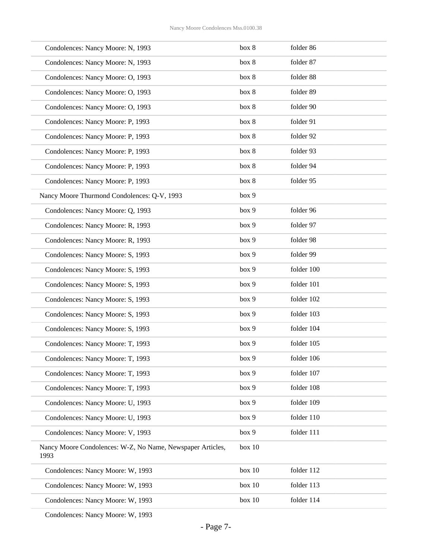| Condolences: Nancy Moore: N, 1993                                  | box 8  | folder 86  |
|--------------------------------------------------------------------|--------|------------|
| Condolences: Nancy Moore: N, 1993                                  | box 8  | folder 87  |
| Condolences: Nancy Moore: O, 1993                                  | box 8  | folder 88  |
| Condolences: Nancy Moore: O, 1993                                  | box 8  | folder 89  |
| Condolences: Nancy Moore: O, 1993                                  | box 8  | folder 90  |
| Condolences: Nancy Moore: P, 1993                                  | box 8  | folder 91  |
| Condolences: Nancy Moore: P, 1993                                  | box 8  | folder 92  |
| Condolences: Nancy Moore: P, 1993                                  | box 8  | folder 93  |
| Condolences: Nancy Moore: P, 1993                                  | box 8  | folder 94  |
| Condolences: Nancy Moore: P, 1993                                  | box 8  | folder 95  |
| Nancy Moore Thurmond Condolences: Q-V, 1993                        | box 9  |            |
| Condolences: Nancy Moore: Q, 1993                                  | box 9  | folder 96  |
| Condolences: Nancy Moore: R, 1993                                  | box 9  | folder 97  |
| Condolences: Nancy Moore: R, 1993                                  | box 9  | folder 98  |
| Condolences: Nancy Moore: S, 1993                                  | box 9  | folder 99  |
| Condolences: Nancy Moore: S, 1993                                  | box 9  | folder 100 |
| Condolences: Nancy Moore: S, 1993                                  | box 9  | folder 101 |
| Condolences: Nancy Moore: S, 1993                                  | box 9  | folder 102 |
| Condolences: Nancy Moore: S, 1993                                  | box 9  | folder 103 |
| Condolences: Nancy Moore: S, 1993                                  | box 9  | folder 104 |
| Condolences: Nancy Moore: T, 1993                                  | box 9  | folder 105 |
| Condolences: Nancy Moore: T, 1993                                  | box 9  | folder 106 |
| Condolences: Nancy Moore: T, 1993                                  | box 9  | folder 107 |
| Condolences: Nancy Moore: T, 1993                                  | box 9  | folder 108 |
| Condolences: Nancy Moore: U, 1993                                  | box 9  | folder 109 |
| Condolences: Nancy Moore: U, 1993                                  | box 9  | folder 110 |
| Condolences: Nancy Moore: V, 1993                                  | box 9  | folder 111 |
| Nancy Moore Condolences: W-Z, No Name, Newspaper Articles,<br>1993 | box 10 |            |
| Condolences: Nancy Moore: W, 1993                                  | box 10 | folder 112 |
| Condolences: Nancy Moore: W, 1993                                  | box 10 | folder 113 |
| Condolences: Nancy Moore: W, 1993                                  | box 10 | folder 114 |
|                                                                    |        |            |

Condolences: Nancy Moore: W, 1993